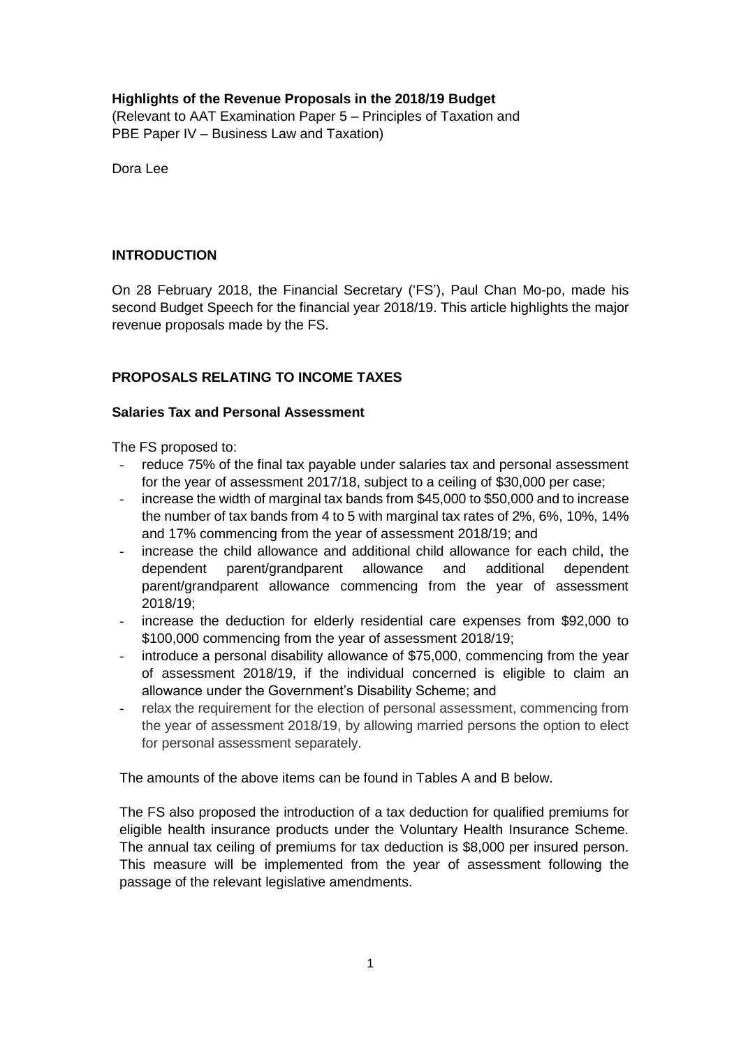## **Highlights of the Revenue Proposals in the 2018/19 Budget**

(Relevant to AAT Examination Paper 5 – Principles of Taxation and PBE Paper IV – Business Law and Taxation)

Dora Lee

## **INTRODUCTION**

On 28 February 2018, the Financial Secretary ('FS'), Paul Chan Mo-po, made his second Budget Speech for the financial year 2018/19. This article highlights the major revenue proposals made by the FS.

## **PROPOSALS RELATING TO INCOME TAXES**

### **Salaries Tax and Personal Assessment**

The FS proposed to:

- reduce 75% of the final tax payable under salaries tax and personal assessment for the year of assessment 2017/18, subject to a ceiling of \$30,000 per case;
- increase the width of marginal tax bands from \$45,000 to \$50,000 and to increase the number of tax bands from 4 to 5 with marginal tax rates of 2%, 6%, 10%, 14% and 17% commencing from the year of assessment 2018/19; and
- increase the child allowance and additional child allowance for each child, the dependent parent/grandparent allowance and additional dependent parent/grandparent allowance commencing from the year of assessment 2018/19;
- increase the deduction for elderly residential care expenses from \$92,000 to \$100,000 commencing from the year of assessment 2018/19;
- introduce a personal disability allowance of \$75,000, commencing from the year of assessment 2018/19, if the individual concerned is eligible to claim an allowance under the Government's Disability Scheme; and
- relax the requirement for the election of personal assessment, commencing from the year of assessment 2018/19, by allowing married persons the option to elect for personal assessment separately.

The amounts of the above items can be found in Tables A and B below.

The FS also proposed the introduction of a tax deduction for qualified premiums for eligible health insurance products under the Voluntary Health Insurance Scheme. The annual tax ceiling of premiums for tax deduction is \$8,000 per insured person. This measure will be implemented from the year of assessment following the passage of the relevant legislative amendments.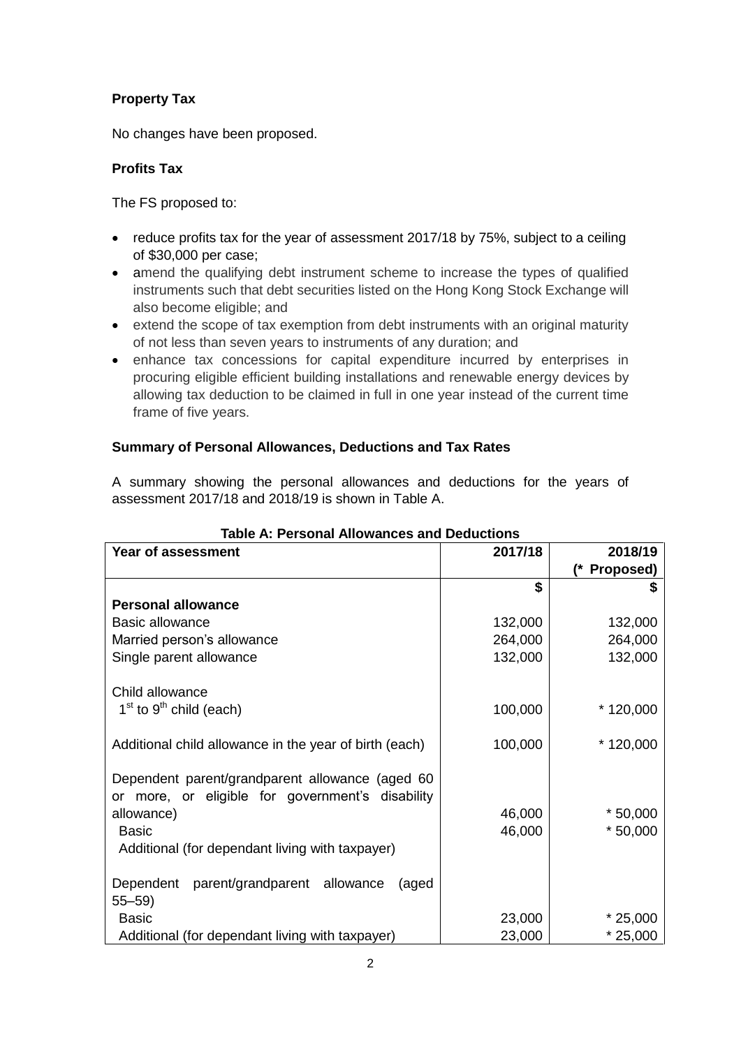# **Property Tax**

No changes have been proposed.

# **Profits Tax**

The FS proposed to:

- reduce profits tax for the year of assessment 2017/18 by 75%, subject to a ceiling of \$30,000 per case;
- amend the qualifying debt instrument scheme to increase the types of qualified instruments such that debt securities listed on the Hong Kong Stock Exchange will also become eligible; and
- extend the scope of tax exemption from debt instruments with an original maturity of not less than seven years to instruments of any duration; and
- enhance tax concessions for capital expenditure incurred by enterprises in procuring eligible efficient building installations and renewable energy devices by allowing tax deduction to be claimed in full in one year instead of the current time frame of five years.

## **Summary of Personal Allowances, Deductions and Tax Rates**

A summary showing the personal allowances and deductions for the years of assessment 2017/18 and 2018/19 is shown in Table A.

| Taple A: Personal Allowances and Deductions            |         |            |  |  |  |
|--------------------------------------------------------|---------|------------|--|--|--|
| Year of assessment                                     | 2017/18 | 2018/19    |  |  |  |
|                                                        |         | Proposed)  |  |  |  |
|                                                        | \$      |            |  |  |  |
| <b>Personal allowance</b>                              |         |            |  |  |  |
| <b>Basic allowance</b>                                 | 132,000 | 132,000    |  |  |  |
| Married person's allowance                             | 264,000 | 264,000    |  |  |  |
| Single parent allowance                                | 132,000 | 132,000    |  |  |  |
| Child allowance                                        |         |            |  |  |  |
| $1st$ to $9th$ child (each)                            | 100,000 | $*120,000$ |  |  |  |
| Additional child allowance in the year of birth (each) | 100,000 | $*120,000$ |  |  |  |
| Dependent parent/grandparent allowance (aged 60        |         |            |  |  |  |
| or more, or eligible for government's disability       |         |            |  |  |  |
| allowance)                                             | 46,000  | $*50,000$  |  |  |  |
| <b>Basic</b>                                           | 46,000  | $*50,000$  |  |  |  |
| Additional (for dependant living with taxpayer)        |         |            |  |  |  |
| Dependent parent/grandparent allowance<br>(aged        |         |            |  |  |  |
| $55 - 59$                                              |         |            |  |  |  |
| <b>Basic</b>                                           | 23,000  | $*25,000$  |  |  |  |
| Additional (for dependant living with taxpayer)        | 23,000  | $*25,000$  |  |  |  |

### **Table A: Personal Allowances and Deductions**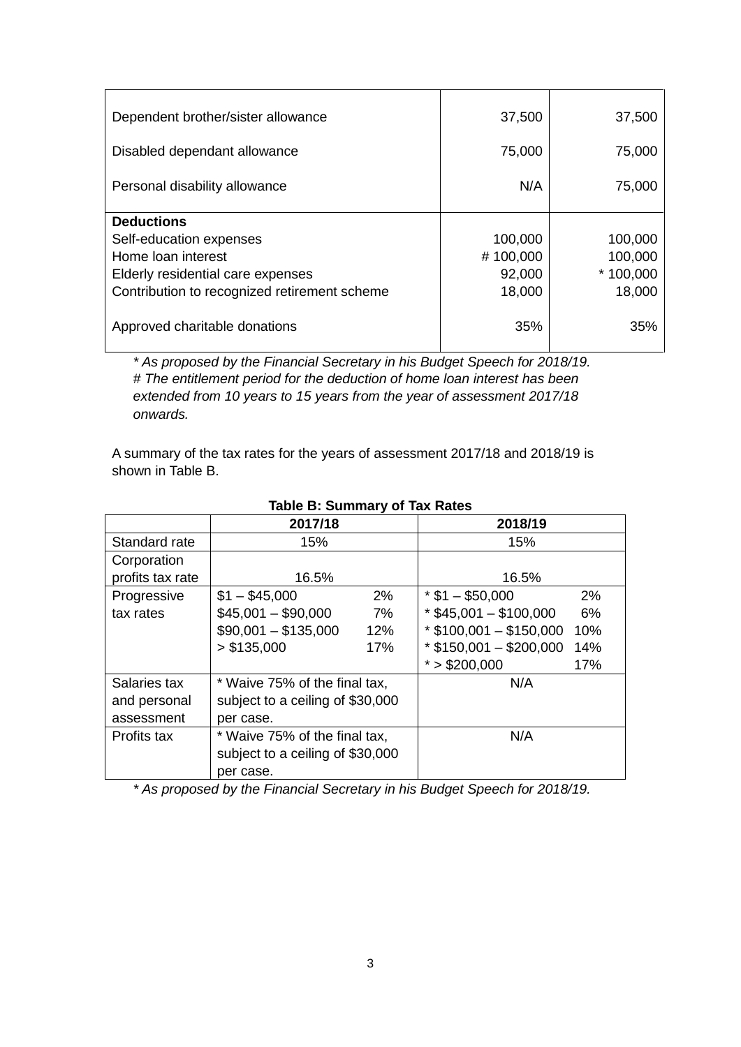| Dependent brother/sister allowance           | 37,500   | 37,500     |
|----------------------------------------------|----------|------------|
| Disabled dependant allowance                 | 75,000   | 75,000     |
| Personal disability allowance                | N/A      | 75,000     |
| <b>Deductions</b>                            |          |            |
| Self-education expenses                      | 100,000  | 100,000    |
| Home loan interest                           | #100,000 | 100,000    |
| Elderly residential care expenses            | 92,000   | $*100,000$ |
| Contribution to recognized retirement scheme | 18,000   | 18,000     |
| Approved charitable donations                | 35%      | 35%        |

*\* As proposed by the Financial Secretary in his Budget Speech for 2018/19. # The entitlement period for the deduction of home loan interest has been extended from 10 years to 15 years from the year of assessment 2017/18 onwards.*

A summary of the tax rates for the years of assessment 2017/18 and 2018/19 is shown in Table B.

|                  | 2017/18                          |     | 2018/19                   |     |
|------------------|----------------------------------|-----|---------------------------|-----|
| Standard rate    | 15%                              |     | 15%                       |     |
| Corporation      |                                  |     |                           |     |
| profits tax rate | 16.5%                            |     | 16.5%                     |     |
| Progressive      | $$1 - $45,000$                   | 2%  | $*$ \$1 - \$50,000        | 2%  |
| tax rates        | $$45,001 - $90,000$              | 7%  | $*$ \$45,001 - \$100,000  | 6%  |
|                  | $$90,001 - $135,000$             | 12% | $*$ \$100,001 - \$150,000 | 10% |
|                  | > \$135,000                      | 17% | $*$ \$150,001 - \$200,000 | 14% |
|                  |                                  |     | $*$ > \$200,000           | 17% |
| Salaries tax     | * Waive 75% of the final tax,    |     | N/A                       |     |
| and personal     | subject to a ceiling of \$30,000 |     |                           |     |
| assessment       | per case.                        |     |                           |     |
| Profits tax      | * Waive 75% of the final tax,    |     | N/A                       |     |
|                  | subject to a ceiling of \$30,000 |     |                           |     |
|                  | per case.                        |     |                           |     |

## **Table B: Summary of Tax Rates**

*\* As proposed by the Financial Secretary in his Budget Speech for 2018/19.*